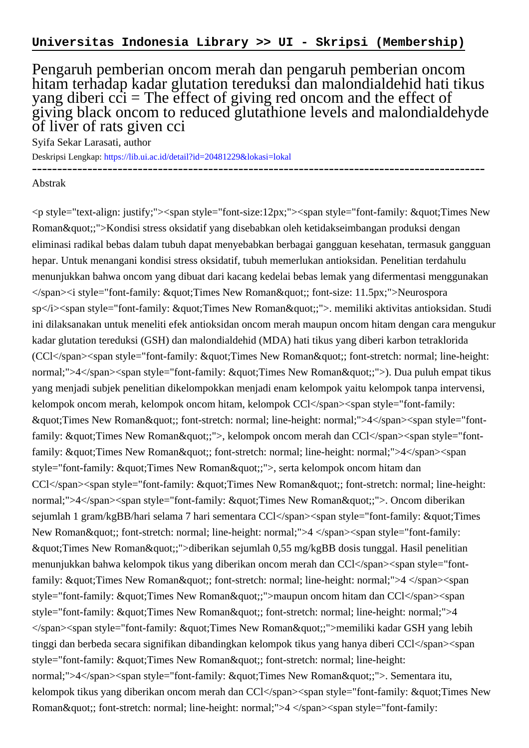## Pengaruh pemberian oncom merah dan pengaruh pemberian oncom hitam terhadap kadar glutation tereduksi dan malondialdehid hati tikus yang diberi  $c\dot{c}$  = The effect of giving red oncom and the effect of giving black oncom to reduced glutathione levels and malondialdehyde of liver of rats given cci

------------------------------------------------------------------------------------------

Syifa Sekar Larasati, author

Deskripsi Lengkap:<https://lib.ui.ac.id/detail?id=20481229&lokasi=lokal>

## Abstrak

 $\langle \phi \rangle$  style="text-align: justify;"> $\langle \phi \rangle$ span style="font-size:12px;"> $\langle \phi \rangle$ span style="font-family: "Times New Roman & quot;;">Kondisi stress oksidatif yang disebabkan oleh ketidakseimbangan produksi dengan eliminasi radikal bebas dalam tubuh dapat menyebabkan berbagai gangguan kesehatan, termasuk gangguan hepar. Untuk menangani kondisi stress oksidatif, tubuh memerlukan antioksidan. Penelitian terdahulu menunjukkan bahwa oncom yang dibuat dari kacang kedelai bebas lemak yang difermentasi menggunakan </span><i style="font-family: &quot;Times New Roman&quot;; font-size: 11.5px;">Neurospora sp</i> <span style="font-family: &quot;Times New Roman&quot;;">. memiliki aktivitas antioksidan. Studi ini dilaksanakan untuk meneliti efek antioksidan oncom merah maupun oncom hitam dengan cara mengukur kadar glutation tereduksi (GSH) dan malondialdehid (MDA) hati tikus yang diberi karbon tetraklorida (CCl</span><span style="font-family: &quot:Times New Roman&quot:; font-stretch: normal; line-height: normal;">4</span><span style="font-family: &quot;Times New Roman&quot;;">). Dua puluh empat tikus yang menjadi subjek penelitian dikelompokkan menjadi enam kelompok yaitu kelompok tanpa intervensi, kelompok oncom merah, kelompok oncom hitam, kelompok CCl</span><span style="font-family: "Times New Roman"; font-stretch: normal; line-height: normal;">4</span><span style="fontfamily: "Times New Roman";">, kelompok oncom merah dan CCl</span><span style="fontfamily:  $\&$ quot;Times New Roman $\&$ quot;; font-stretch: normal; line-height: normal;">4</span><span style="font-family: "Times New Roman";">, serta kelompok oncom hitam dan CCl</span><span style="font-family: &quot;Times New Roman&quot;; font-stretch: normal; line-height: normal;">4</span><span style="font-family: &quot;Times New Roman&quot;;">. Oncom diberikan sejumlah 1 gram/kgBB/hari selama 7 hari sementara CCl</span><span style="font-family: &quot;Times New Roman & quot;; font-stretch: normal; line-height: normal;">4 </span><span style="font-family: "Times New Roman";">diberikan sejumlah 0,55 mg/kgBB dosis tunggal. Hasil penelitian menunjukkan bahwa kelompok tikus yang diberikan oncom merah dan CCl</span><span style="fontfamily:  $\&$ quot;Times New Roman $\&$ quot;; font-stretch: normal; line-height: normal;">4 </span><span style="font-family: "Times New Roman";">maupun oncom hitam dan CCl</span><span style="font-family: "Times New Roman"; font-stretch: normal; line-height: normal;">4 </span><span style="font-family: &quot;Times New Roman&quot;;">memiliki kadar GSH yang lebih tinggi dan berbeda secara signifikan dibandingkan kelompok tikus yang hanya diberi CCl</span><span style="font-family: "Times New Roman"; font-stretch: normal; line-height: normal;">4</span><span style="font-family: &quot;Times New Roman&quot;;">. Sementara itu, kelompok tikus yang diberikan oncom merah dan CCl</span><span style="font-family:  $\&$ quot;Times New Roman & quot;; font-stretch: normal; line-height: normal;">4 </span><span style="font-family: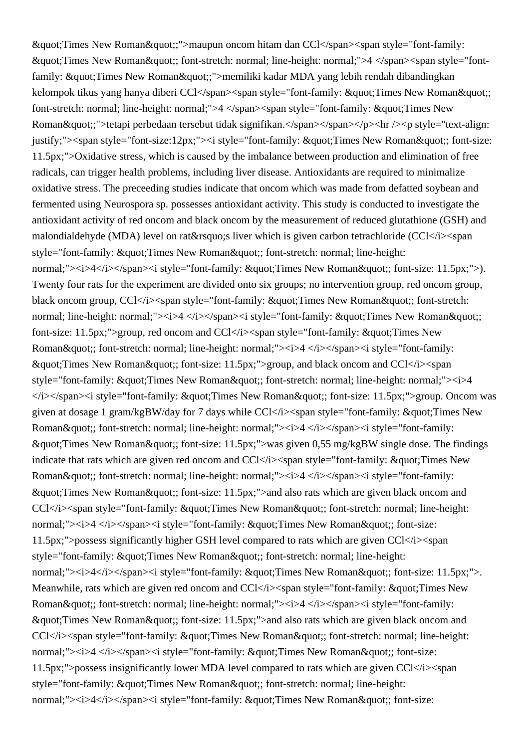& guot; Times New Roman & guot;;">maupun oncom hitam dan CCl</span><span style="font-family: "Times New Roman"; font-stretch: normal; line-height: normal;">4 </span><span style="fontfamily: "Times New Roman";">memiliki kadar MDA yang lebih rendah dibandingkan kelompok tikus yang hanya diberi CCl</span><span style="font-family:  $\&$ quot;Times New Roman $\&$ quot;; font-stretch: normal; line-height: normal;">4 </span><span style="font-family: &quot; Times New Roman";">tetapi perbedaan tersebut tidak signifikan.</span></span></p>>>>>> hr />> />> style="text-align: justify;"><span style="font-size:12px;"><i style="font-family: &quot;Times New Roman&quot;; font-size: 11.5px;">Oxidative stress, which is caused by the imbalance between production and elimination of free radicals, can trigger health problems, including liver disease. Antioxidants are required to minimalize oxidative stress. The preceeding studies indicate that oncom which was made from defatted soybean and fermented using Neurospora sp. possesses antioxidant activity. This study is conducted to investigate the antioxidant activity of red oncom and black oncom by the measurement of reduced glutathione (GSH) and malondialdehyde (MDA) level on rat' liver which is given carbon tetrachloride (CCl</i> span style="font-family: "Times New Roman"; font-stretch: normal; line-height: normal;"> $\langle i \rangle$  4 $\langle i \rangle$  /span> $\langle i \rangle$  style="font-family: "Times New Roman"; font-size: 11.5px;">). Twenty four rats for the experiment are divided onto six groups; no intervention group, red oncom group, black oncom group, CCl</i><span style="font-family:  $\&$  quot; Times New Roman  $\&$  quot;; font-stretch: normal; line-height: normal;"> $\langle i \rangle$   $\langle i \rangle$   $\langle j \rangle$  style="font-family: & quot; Times New Roman & quot;; font-size: 11.5px;">group, red oncom and CCl</i><span style="font-family: &quot;Times New Roman"; font-stretch: normal; line-height: normal;"> $\langle i \rangle$   $\langle i \rangle$   $\langle j \rangle$ span> $\langle i \rangle$  style="font-family:  $\&$ quot;Times New Roman $\&$ quot;; font-size: 11.5px;">group, and black oncom and CCl</i><span style="font-family: "Times New Roman"; font-stretch: normal; line-height: normal;"><i>4  $\langle$ i> $\langle$ span> $\langle$ i style="font-family: "Times New Roman"; font-size: 11.5px;">group. Oncom was given at dosage 1 gram/kgBW/day for 7 days while CCl</i><span style="font-family: &quot;Times New Roman"; font-stretch: normal; line-height: normal;"> $\langle i \rangle \langle i \rangle$  //span> $\langle i \rangle$  style="font-family: " Times New Roman"; font-size: 11.5px;">was given 0,55 mg/kgBW single dose. The findings indicate that rats which are given red oncom and CCl</i><span style="font-family:  $\&$ quot;Times New Roman"; font-stretch: normal; line-height: normal;">
i>4 </i>
/span>
i style="font-family: " Times New Roman & quot;; font-size: 11.5px;">and also rats which are given black oncom and CCl</i><span style="font-family:  $&$ quot;Times New Roman $&$ quot;; font-stretch: normal; line-height: normal;"> $\langle i \rangle$  </i> $\langle i \rangle$ span> $\langle i \rangle$  style="font-family: "Times New Roman"; font-size:  $11.5px$ ;">possess significantly higher GSH level compared to rats which are given  $CCI$   $\langle i \rangle$  <span style="font-family: "Times New Roman"; font-stretch: normal; line-height: normal;"> $\langle i \rangle$  4 $\langle i \rangle$  /span> $\langle i \rangle$  style="font-family: " Times New Roman "; font-size: 11.5px;">. Meanwhile, rats which are given red oncom and CCl</i>
span style="font-family:  $\&$  auot: Times New Roman"; font-stretch: normal; line-height: normal;"> $\langle i \rangle \langle i \rangle$  /j> $\langle j \rangle$  style="font-family:  $\&$  austermies New Roman  $\&$  austermies in the size: 11.5px;" > and also rats which are given black oncom and CCl</i><span style="font-family:  $\&$ quot;Times New Roman $\&$ quot;; font-stretch: normal; line-height: normal;"> $\langle i \rangle$ 4  $\langle i \rangle$  /span> $\langle i \rangle$  style="font-family: "Times New Roman"; font-size:  $11.5px$ ;">possess insignificantly lower MDA level compared to rats which are given  $CCI<sub>i</sub>$  \[ style="font-family: "Times New Roman"; font-stretch: normal; line-height: normal;"> $\langle i \rangle$  4 $\langle i \rangle$  /span> $\langle i \rangle$  style="font-family: & quot; Times New Roman & quot;; font-size: